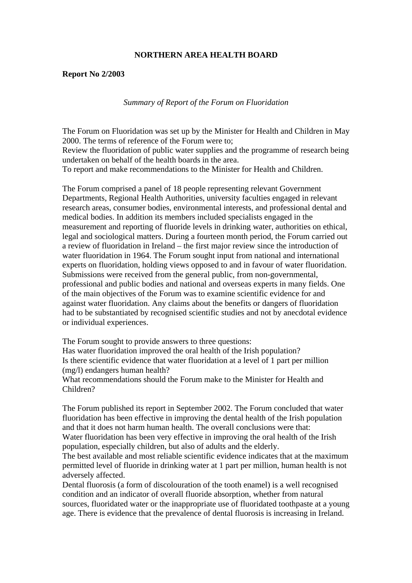## **NORTHERN AREA HEALTH BOARD**

## **Report No 2/2003**

*Summary of Report of the Forum on Fluoridation* 

The Forum on Fluoridation was set up by the Minister for Health and Children in May 2000. The terms of reference of the Forum were to; Review the fluoridation of public water supplies and the programme of research being undertaken on behalf of the health boards in the area. To report and make recommendations to the Minister for Health and Children.

The Forum comprised a panel of 18 people representing relevant Government Departments, Regional Health Authorities, university faculties engaged in relevant research areas, consumer bodies, environmental interests, and professional dental and medical bodies. In addition its members included specialists engaged in the measurement and reporting of fluoride levels in drinking water, authorities on ethical, legal and sociological matters. During a fourteen month period, the Forum carried out a review of fluoridation in Ireland – the first major review since the introduction of water fluoridation in 1964. The Forum sought input from national and international experts on fluoridation, holding views opposed to and in favour of water fluoridation. Submissions were received from the general public, from non-governmental, professional and public bodies and national and overseas experts in many fields. One of the main objectives of the Forum was to examine scientific evidence for and against water fluoridation. Any claims about the benefits or dangers of fluoridation had to be substantiated by recognised scientific studies and not by anecdotal evidence or individual experiences.

The Forum sought to provide answers to three questions:

Has water fluoridation improved the oral health of the Irish population? Is there scientific evidence that water fluoridation at a level of 1 part per million (mg/l) endangers human health?

What recommendations should the Forum make to the Minister for Health and Children?

The Forum published its report in September 2002. The Forum concluded that water fluoridation has been effective in improving the dental health of the Irish population and that it does not harm human health. The overall conclusions were that: Water fluoridation has been very effective in improving the oral health of the Irish population, especially children, but also of adults and the elderly.

The best available and most reliable scientific evidence indicates that at the maximum permitted level of fluoride in drinking water at 1 part per million, human health is not adversely affected.

Dental fluorosis (a form of discolouration of the tooth enamel) is a well recognised condition and an indicator of overall fluoride absorption, whether from natural sources, fluoridated water or the inappropriate use of fluoridated toothpaste at a young age. There is evidence that the prevalence of dental fluorosis is increasing in Ireland.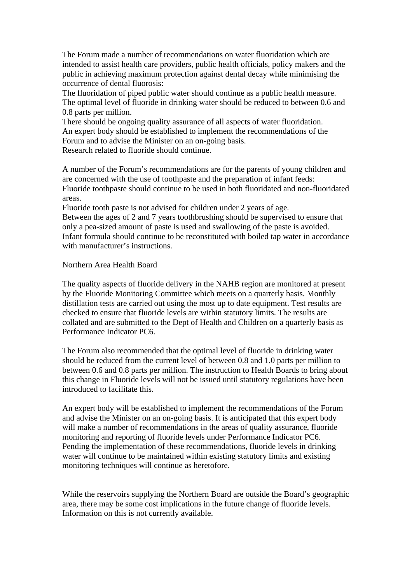The Forum made a number of recommendations on water fluoridation which are intended to assist health care providers, public health officials, policy makers and the public in achieving maximum protection against dental decay while minimising the occurrence of dental fluorosis:

The fluoridation of piped public water should continue as a public health measure. The optimal level of fluoride in drinking water should be reduced to between 0.6 and 0.8 parts per million.

There should be ongoing quality assurance of all aspects of water fluoridation. An expert body should be established to implement the recommendations of the Forum and to advise the Minister on an on-going basis.

Research related to fluoride should continue.

A number of the Forum's recommendations are for the parents of young children and are concerned with the use of toothpaste and the preparation of infant feeds: Fluoride toothpaste should continue to be used in both fluoridated and non-fluoridated areas.

Fluoride tooth paste is not advised for children under 2 years of age.

Between the ages of 2 and 7 years toothbrushing should be supervised to ensure that only a pea-sized amount of paste is used and swallowing of the paste is avoided. Infant formula should continue to be reconstituted with boiled tap water in accordance with manufacturer's instructions.

## Northern Area Health Board

The quality aspects of fluoride delivery in the NAHB region are monitored at present by the Fluoride Monitoring Committee which meets on a quarterly basis. Monthly distillation tests are carried out using the most up to date equipment. Test results are checked to ensure that fluoride levels are within statutory limits. The results are collated and are submitted to the Dept of Health and Children on a quarterly basis as Performance Indicator PC6.

The Forum also recommended that the optimal level of fluoride in drinking water should be reduced from the current level of between 0.8 and 1.0 parts per million to between 0.6 and 0.8 parts per million. The instruction to Health Boards to bring about this change in Fluoride levels will not be issued until statutory regulations have been introduced to facilitate this.

An expert body will be established to implement the recommendations of the Forum and advise the Minister on an on-going basis. It is anticipated that this expert body will make a number of recommendations in the areas of quality assurance, fluoride monitoring and reporting of fluoride levels under Performance Indicator PC6. Pending the implementation of these recommendations, fluoride levels in drinking water will continue to be maintained within existing statutory limits and existing monitoring techniques will continue as heretofore.

While the reservoirs supplying the Northern Board are outside the Board's geographic area, there may be some cost implications in the future change of fluoride levels. Information on this is not currently available.